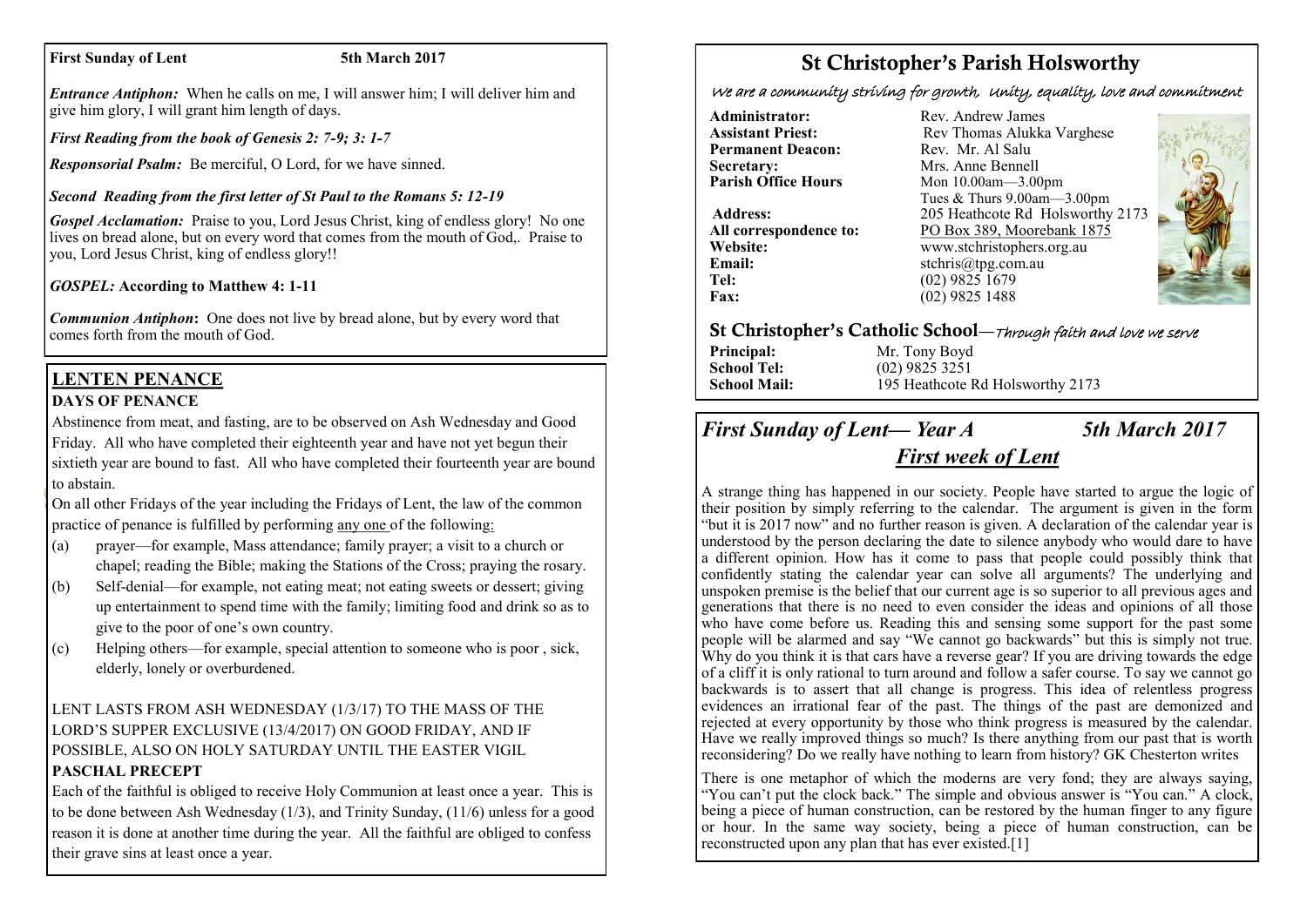#### **First Sunday of Lent** 5th March 2017

*Entrance Antiphon:* When he calls on me, I will answer him; I will deliver him and give him glory, I will grant him length of days.

*First Reading from the book of Genesis 2: 7-9; 3: 1-7*

*Responsorial Psalm:* Be merciful, O Lord, for we have sinned.

## *Second Reading from the first letter of St Paul to the Romans 5: 12-19*

*Gospel Acclamation:* Praise to you, Lord Jesus Christ, king of endless glory! No one lives on bread alone, but on every word that comes from the mouth of God,. Praise to you, Lord Jesus Christ, king of endless glory!!

## *GOSPEL:* **According to Matthew 4: 1-11**

*Communion Antiphon***:** One does not live by bread alone, but by every word that comes forth from the mouth of God.

## **LENTEN PENANCE DAYS OF PENANCE**

Abstinence from meat, and fasting, are to be observed on Ash Wednesday and Good Friday. All who have completed their eighteenth year and have not yet begun their sixtieth year are bound to fast. All who have completed their fourteenth year are bound to abstain.

On all other Fridays of the year including the Fridays of Lent, the law of the common practice of penance is fulfilled by performing any one of the following:

- (a) prayer—for example, Mass attendance; family prayer; a visit to a church or chapel; reading the Bible; making the Stations of the Cross; praying the rosary.
- (b) Self-denial—for example, not eating meat; not eating sweets or dessert; giving up entertainment to spend time with the family; limiting food and drink so as to give to the poor of one's own country.
- (c) Helping others—for example, special attention to someone who is poor , sick, elderly, lonely or overburdened.

## LENT LASTS FROM ASH WEDNESDAY (1/3/17) TO THE MASS OF THE LORD'S SUPPER EXCLUSIVE (13/4/2017) ON GOOD FRIDAY, AND IF POSSIBLE, ALSO ON HOLY SATURDAY UNTIL THE EASTER VIGIL **PASCHAL PRECEPT**

Each of the faithful is obliged to receive Holy Communion at least once a year. This is to be done between Ash Wednesday (1/3), and Trinity Sunday, (11/6) unless for a good reason it is done at another time during the year. All the faithful are obliged to confess their grave sins at least once a year.

# St Christopher's Parish Holsworthy

We are a community striving for growth, Unity, equality, love and commitment

**Administrator:** Rev. Andrew James<br> **Assistant Priest:** Rev Thomas Alukka **Permanent Deacon:**<br>Secretary: **Secretary:** Mrs. Anne Bennell<br> **Parish Office Hours** Mon 10.00am - 3.00

**Email:** stchris@tpg.com.au<br> **Tel:** (02) 9825 1679 **Tel:** (02) 9825 1679<br>**Fax:** (02) 9825 1488

Rev Thomas Alukka Varghese<br>Rev. Mr. Al Salu **Parish Office Hours** Mon 10.00am—3.00pm Tues & Thurs 9.00am—3.00pm **Address:** 205 Heathcote Rd Holsworthy 2173 **All correspondence to:** PO Box 389, Moorebank 1875 **Website:** www.stchristophers.org.au<br> **Email:** stchris@tng.com au **Fax:** (02) 9825 1488



## St Christopher's Catholic School—Through faith and love we serve

**Principal:** Mr. Tony Boyd **School Tel:** (02) 9825 3251 **School Mail:** 195 Heathcote Rd Holsworthy 2173

## *First Sunday of Lent— Year A 5th March 2017*

## *First week of Lent*

A strange thing has happened in our society. People have started to argue the logic of their position by simply referring to the calendar. The argument is given in the form "but it is 2017 now" and no further reason is given. A declaration of the calendar year is understood by the person declaring the date to silence anybody who would dare to have a different opinion. How has it come to pass that people could possibly think that confidently stating the calendar year can solve all arguments? The underlying and unspoken premise is the belief that our current age is so superior to all previous ages and generations that there is no need to even consider the ideas and opinions of all those who have come before us. Reading this and sensing some support for the past some people will be alarmed and say "We cannot go backwards" but this is simply not true. Why do you think it is that cars have a reverse gear? If you are driving towards the edge of a cliff it is only rational to turn around and follow a safer course. To say we cannot go backwards is to assert that all change is progress. This idea of relentless progress evidences an irrational fear of the past. The things of the past are demonized and rejected at every opportunity by those who think progress is measured by the calendar. Have we really improved things so much? Is there anything from our past that is worth reconsidering? Do we really have nothing to learn from history? GK Chesterton writes

There is one metaphor of which the moderns are very fond; they are always saying, "You can't put the clock back." The simple and obvious answer is "You can." A clock, being a piece of human construction, can be restored by the human finger to any figure or hour. In the same way society, being a piece of human construction, can be reconstructed upon any plan that has ever existed.[1]